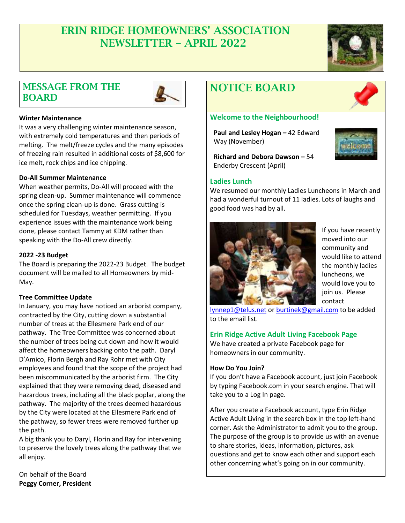# ERIN RIDGE HOMEOWNERS' ASSOCIATION NEWSLETTER – APRIL 2022



## MESSAGE FROM THE BOARD



### **Winter Maintenance**

It was a very challenging winter maintenance season, with extremely cold temperatures and then periods of melting. The melt/freeze cycles and the many episodes of freezing rain resulted in additional costs of \$8,600 for ice melt, rock chips and ice chipping.

### **Do-All Summer Maintenance**

When weather permits, Do-All will proceed with the spring clean-up. Summer maintenance will commence once the spring clean-up is done. Grass cutting is scheduled for Tuesdays, weather permitting. If you experience issues with the maintenance work being done, please contact Tammy at KDM rather than speaking with the Do-All crew directly.

### **2022 -23 Budget**

The Board is preparing the 2022-23 Budget. The budget document will be mailed to all Homeowners by mid-May.

#### **Tree Committee Update**

In January, you may have noticed an arborist company, contracted by the City, cutting down a substantial number of trees at the Ellesmere Park end of our pathway. The Tree Committee was concerned about the number of trees being cut down and how it would affect the homeowners backing onto the path. Daryl D'Amico, Florin Bergh and Ray Rohr met with City employees and found that the scope of the project had been miscommunicated by the arborist firm. The City explained that they were removing dead, diseased and hazardous trees, including all the black poplar, along the pathway. The majority of the trees deemed hazardous by the City were located at the Ellesmere Park end of the pathway, so fewer trees were removed further up the path.

A big thank you to Daryl, Florin and Ray for intervening to preserve the lovely trees along the pathway that we all enjoy.

On behalf of the Board **Peggy Corner, President**

# NOTICE BOARD

#### **Welcome to the Neighbourhood!**

**Paul and Lesley Hogan - 42 Edward** Way (November)



**Richard and Debora Dawson –** 54 Enderby Crescent (April)

## **Ladies Lunch**

We resumed our monthly Ladies Luncheons in March and had a wonderful turnout of 11 ladies. Lots of laughs and good food was had by all.



If you have recently moved into our community and would like to attend the monthly ladies luncheons, we would love you to join us. Please contact

[lynnep1@telus.net](mailto:lynnep1@telus.net) o[r burtinek@gmail.com](mailto:burtinek@gmail.com) to be added to the email list.

## **Erin Ridge Active Adult Living Facebook Page**

We have created a private Facebook page for homeowners in our community.

#### **How Do You Join?**

If you don't have a Facebook account, just join Facebook by typing Facebook.com in your search engine. That will take you to a Log In page.

After you create a Facebook account, type Erin Ridge Active Adult Living in the search box in the top left-hand corner. Ask the Administrator to admit you to the group. The purpose of the group is to provide us with an avenue to share stories, ideas, information, pictures, ask questions and get to know each other and support each other concerning what's going on in our community.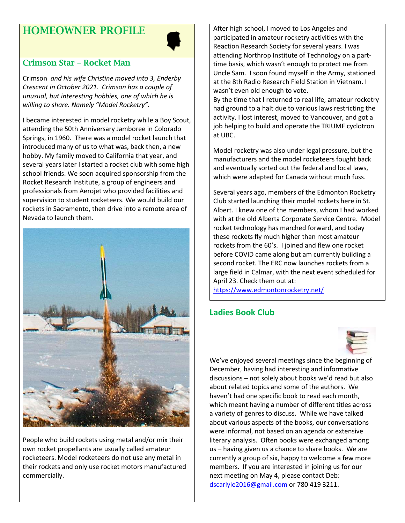# HOMEOWNER PROFILE



## Crimson Star – Rocket Man

Crimson *and his wife Christine moved into 3, Enderby Crescent in October 2021. Crimson has a couple of unusual, but interesting hobbies, one of which he is willing to share. Namely "Model Rocketry".* 

I became interested in model rocketry while a Boy Scout, attending the 50th Anniversary Jamboree in Colorado Springs, in 1960. There was a model rocket launch that introduced many of us to what was, back then, a new hobby. My family moved to California that year, and several years later I started a rocket club with some high school friends. We soon acquired sponsorship from the Rocket Research Institute, a group of engineers and professionals from Aerojet who provided facilities and supervision to student rocketeers. We would build our rockets in Sacramento, then drive into a remote area of Nevada to launch them.



People who build rockets using metal and/or mix their own rocket propellants are usually called amateur rocketeers. Model rocketeers do not use any metal in their rockets and only use rocket motors manufactured commercially.

After high school, I moved to Los Angeles and participated in amateur rocketry activities with the Reaction Research Society for several years. I was attending Northrop Institute of Technology on a parttime basis, which wasn't enough to protect me from Uncle Sam. I soon found myself in the Army, stationed at the 8th Radio Research Field Station in Vietnam. I wasn't even old enough to vote.

By the time that I returned to real life, amateur rocketry had ground to a halt due to various laws restricting the activity. I lost interest, moved to Vancouver, and got a job helping to build and operate the TRIUMF cyclotron at UBC.

Model rocketry was also under legal pressure, but the manufacturers and the model rocketeers fought back and eventually sorted out the federal and local laws, which were adapted for Canada without much fuss.

Several years ago, members of the Edmonton Rocketry Club started launching their model rockets here in St. Albert. I knew one of the members, whom I had worked with at the old Alberta Corporate Service Centre. Model rocket technology has marched forward, and today these rockets fly much higher than most amateur rockets from the 60's. I joined and flew one rocket before COVID came along but am currently building a second rocket. The ERC now launches rockets from a large field in Calmar, with the next event scheduled for April 23. Check them out at:

<https://www.edmontonrocketry.net/>

## **Ladies Book Club**



We've enjoyed several meetings since the beginning of December, having had interesting and informative discussions – not solely about books we'd read but also about related topics and some of the authors. We haven't had one specific book to read each month, which meant having a number of different titles across a variety of genres to discuss. While we have talked about various aspects of the books, our conversations were informal, not based on an agenda or extensive literary analysis. Often books were exchanged among us – having given us a chance to share books. We are currently a group of six, happy to welcome a few more members. If you are interested in joining us for our next meeting on May 4, please contact Deb: [dscarlyle2016@gmail.com](mailto:dscarlyle2016@gmail.com) or 780 419 3211.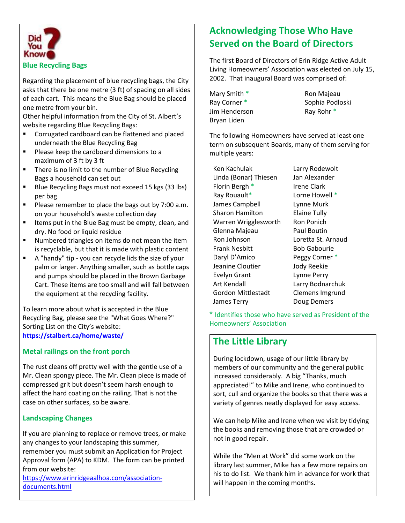

### **Blue Recycling Bags**

Regarding the placement of blue recycling bags, the City asks that there be one metre (3 ft) of spacing on all sides of each cart. This means the Blue Bag should be placed one metre from your bin.

Other helpful information from the City of St. Albert's website regarding Blue Recycling Bags:

- Corrugated cardboard can be flattened and placed underneath the Blue Recycling Bag
- Please keep the cardboard dimensions to a maximum of 3 ft by 3 ft
- There is no limit to the number of Blue Recycling Bags a household can set out
- Blue Recycling Bags must not exceed 15 kgs (33 lbs) per bag
- Please remember to place the bags out by 7:00 a.m. on your household's waste collection day
- Items put in the Blue Bag must be empty, clean, and dry. No food or liquid residue
- Numbered triangles on items do not mean the item is recyclable, but that it is made with plastic content
- A "handy" tip you can recycle lids the size of your palm or larger. Anything smaller, such as bottle caps and pumps should be placed in the Brown Garbage Cart. These items are too small and will fall between the equipment at the recycling facility.

To learn more about what is accepted in the Blue Recycling Bag, please see the "What Goes Where?" Sorting List on the City's website: **<https://stalbert.ca/home/waste/>**

## **Metal railings on the front porch**

The rust cleans off pretty well with the gentle use of a Mr. Clean spongy piece. The Mr. Clean piece is made of compressed grit but doesn't seem harsh enough to affect the hard coating on the railing. That is not the case on other surfaces, so be aware.

## **Landscaping Changes**

If you are planning to replace or remove trees, or make any changes to your landscaping this summer, remember you must submit an Application for Project Approval form (APA) to KDM. The form can be printed from our website:

[https://www.erinridgeaalhoa.com/association](https://www.erinridgeaalhoa.com/association-documents.html)[documents.html](https://www.erinridgeaalhoa.com/association-documents.html)

## **Acknowledging Those Who Have Served on the Board of Directors**

The first Board of Directors of Erin Ridge Active Adult Living Homeowners' Association was elected on July 15, 2002. That inaugural Board was comprised of:

Mary Smith \* Ron Majeau Jim Henderson Ray Rohr \* Bryan Liden

Ray Corner \* Sophia Podloski

The following Homeowners have served at least one term on subsequent Boards, many of them serving for multiple years:

| Ken Kachulak              | l |
|---------------------------|---|
| Linda (Bonar) Thiesen     | J |
| Florin Bergh *            |   |
| Ray Rouault*              | l |
| James Campbell            |   |
| <b>Sharon Hamilton</b>    | E |
| Warren Wrigglesworth      | F |
| Glenna Majeau             | F |
| Ron Johnson               | l |
| <b>Frank Nesbitt</b>      | E |
| Daryl D'Amico             | F |
| Jeanine Cloutier          | J |
| <b>Evelyn Grant</b>       | L |
| Art Kendall               |   |
| <b>Gordon Mittlestadt</b> | ( |
| James Terry               |   |
|                           |   |

Larry Rodewolt an Alexander rene Clark Lorne Howell \* Lynne Murk Elaine Tully Ron Ponich Paul Boutin Loretta St. Arnaud Bob Gabourie Peggy Corner \* ody Reekie Lynne Perry Larry Bodnarchuk Clemens Imgrund Doug Demers

\* Identifies those who have served as President of the Homeowners' Association

## **The Little Library**

During lockdown, usage of our little library by members of our community and the general public increased considerably. A big "Thanks, much appreciated!" to Mike and Irene, who continued to sort, cull and organize the books so that there was a variety of genres neatly displayed for easy access.

We can help Mike and Irene when we visit by tidying the books and removing those that are crowded or not in good repair.

While the "Men at Work" did some work on the library last summer, Mike has a few more repairs on his to do list. We thank him in advance for work that will happen in the coming months.